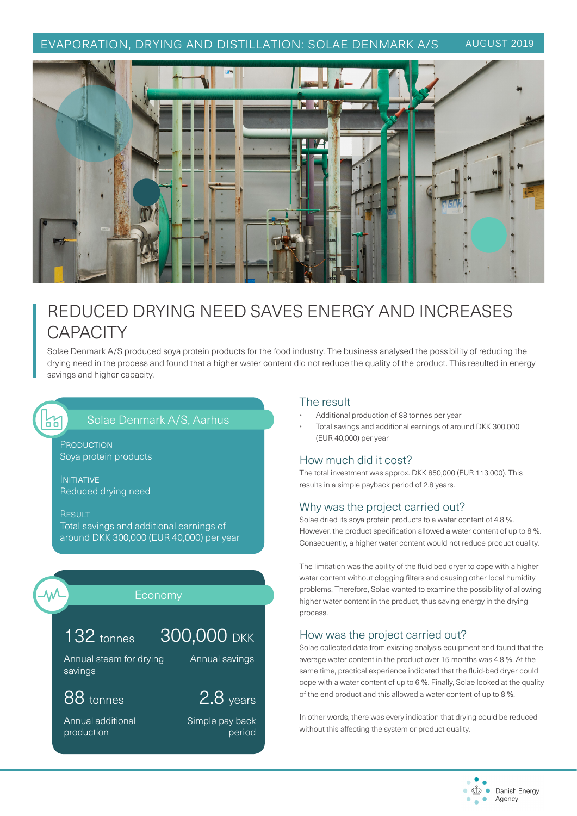### EVAPORATION, DRYING AND DISTILLATION: SOLAE DENMARK A/S AUGUST 2019



# REDUCED DRYING NEED SAVES ENERGY AND INCREASES **CAPACITY**

Solae Denmark A/S produced soya protein products for the food industry. The business analysed the possibility of reducing the drying need in the process and found that a higher water content did not reduce the quality of the product. This resulted in energy savings and higher capacity.

### Solae Denmark A/S, Aarhus

**PRODUCTION** Soya protein products

INITIATIVE Reduced drying need

**RESULT** Total savings and additional earnings of around DKK 300,000 (EUR 40,000) per year



77<br>00

#### Economy

## 132 tonnes

Annual steam for drying 300,000 DKK Annual savings

88 tonnes

savings

Annual additional production

# 2.8 years

Simple pay back period

#### The result

- Additional production of 88 tonnes per year
- Total savings and additional earnings of around DKK 300,000 (EUR 40,000) per year

#### How much did it cost?

The total investment was approx. DKK 850,000 (EUR 113,000). This results in a simple payback period of 2.8 years.

#### Why was the project carried out?

Solae dried its soya protein products to a water content of 4.8 %. However, the product specification allowed a water content of up to 8 %. Consequently, a higher water content would not reduce product quality.

The limitation was the ability of the fluid bed dryer to cope with a higher water content without clogging filters and causing other local humidity problems. Therefore, Solae wanted to examine the possibility of allowing higher water content in the product, thus saving energy in the drying process.

#### How was the project carried out?

Solae collected data from existing analysis equipment and found that the average water content in the product over 15 months was 4.8 %. At the same time, practical experience indicated that the fluid-bed dryer could cope with a water content of up to 6 %. Finally, Solae looked at the quality of the end product and this allowed a water content of up to 8 %.

In other words, there was every indication that drying could be reduced without this affecting the system or product quality.